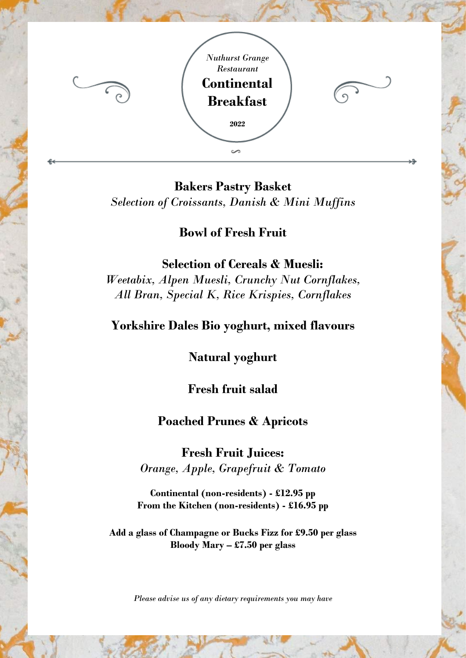

**Bakers Pastry Basket** *Selection of Croissants, Danish & Mini Muffins*

**Bowl of Fresh Fruit**

 **Selection of Cereals & Muesli:** *Weetabix, Alpen Muesli, Crunchy Nut Cornflakes, All Bran, Special K, Rice Krispies, Cornflakes*

## **Yorkshire Dales Bio yoghurt, mixed flavours**

**Natural yoghurt**

**Fresh fruit salad**

## **Poached Prunes & Apricots**

**Fresh Fruit Juices:** *Orange, Apple, Grapefruit & Tomato*

**Continental (non-residents) - £12.95 pp From the Kitchen (non-residents) - £16.95 pp**

**Add a glass of Champagne or Bucks Fizz for £9.50 per glass Bloody Mary – £7.50 per glass**

*Please advise us of any dietary requirements you may have*